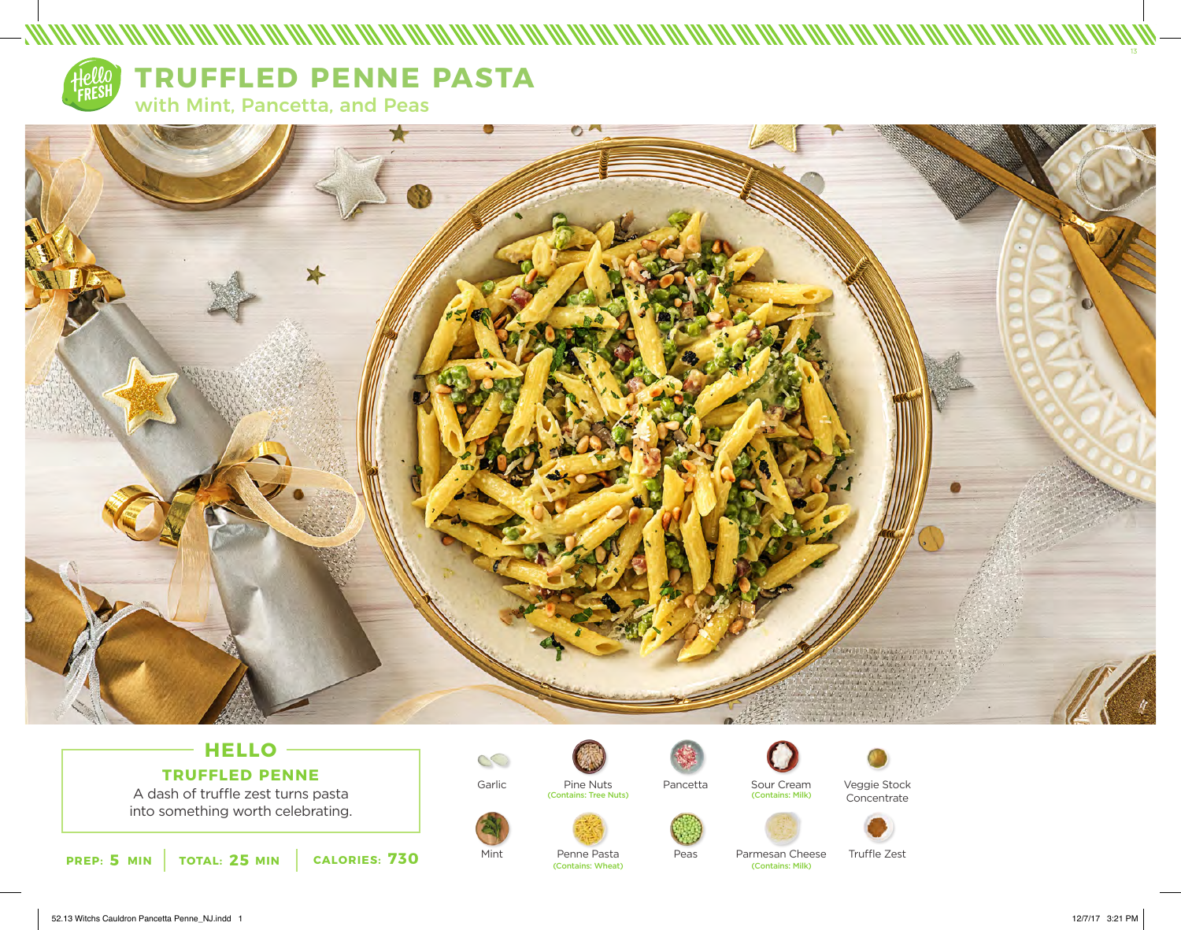

## **TRUFFLED PENNE PASTA**

with Mint, Pancetta, and Peas



## **HELLO TRUFFLED PENNE**

A dash of truffle zest turns pasta into something worth celebrating.



Garlic

Mint









Penne Pasta<br>(Contains: Wheat)



Sour Cream<br>(Contains: Milk)



Pancetta

Peas

Veggie Stock Concentrate



Parmesan Cheese Truffle Zest<br>
Contains: Milk)